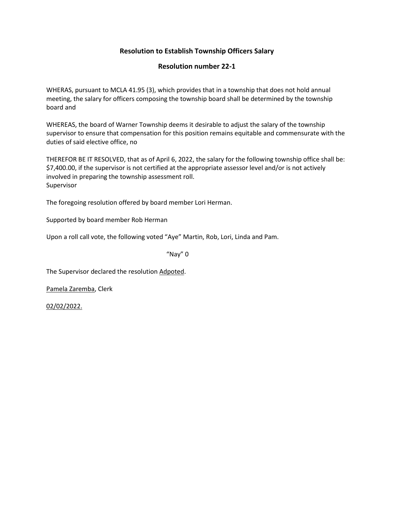# **Resolution number 22-1**

WHERAS, pursuant to MCLA 41.95 (3), which provides that in a township that does not hold annual meeting, the salary for officers composing the township board shall be determined by the township board and

WHEREAS, the board of Warner Township deems it desirable to adjust the salary of the township supervisor to ensure that compensation for this position remains equitable and commensurate with the duties of said elective office, no

THEREFOR BE IT RESOLVED, that as of April 6, 2022, the salary for the following township office shall be: \$7,400.00, if the supervisor is not certified at the appropriate assessor level and/or is not actively involved in preparing the township assessment roll. Supervisor

The foregoing resolution offered by board member Lori Herman.

Supported by board member Rob Herman

Upon a roll call vote, the following voted "Aye" Martin, Rob, Lori, Linda and Pam.

"Nay" 0

The Supervisor declared the resolution Adpoted.

Pamela Zaremba, Clerk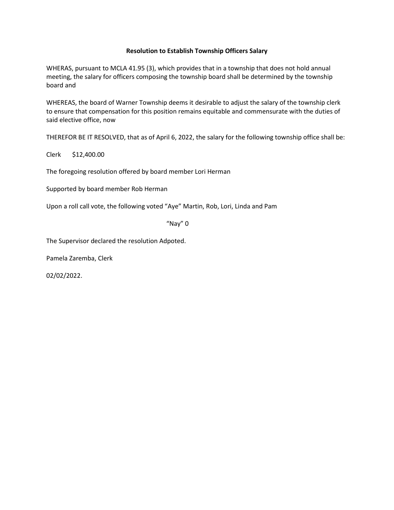WHERAS, pursuant to MCLA 41.95 (3), which provides that in a township that does not hold annual meeting, the salary for officers composing the township board shall be determined by the township board and

WHEREAS, the board of Warner Township deems it desirable to adjust the salary of the township clerk to ensure that compensation for this position remains equitable and commensurate with the duties of said elective office, now

THEREFOR BE IT RESOLVED, that as of April 6, 2022, the salary for the following township office shall be:

Clerk \$12,400.00

The foregoing resolution offered by board member Lori Herman

Supported by board member Rob Herman

Upon a roll call vote, the following voted "Aye" Martin, Rob, Lori, Linda and Pam

"Nay" 0

The Supervisor declared the resolution Adpoted.

Pamela Zaremba, Clerk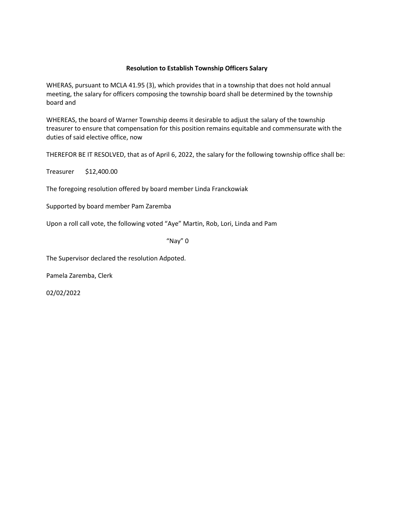WHERAS, pursuant to MCLA 41.95 (3), which provides that in a township that does not hold annual meeting, the salary for officers composing the township board shall be determined by the township board and

WHEREAS, the board of Warner Township deems it desirable to adjust the salary of the township treasurer to ensure that compensation for this position remains equitable and commensurate with the duties of said elective office, now

THEREFOR BE IT RESOLVED, that as of April 6, 2022, the salary for the following township office shall be:

Treasurer \$12,400.00

The foregoing resolution offered by board member Linda Franckowiak

Supported by board member Pam Zaremba

Upon a roll call vote, the following voted "Aye" Martin, Rob, Lori, Linda and Pam

"Nay" 0

The Supervisor declared the resolution Adpoted.

Pamela Zaremba, Clerk

02/02/2022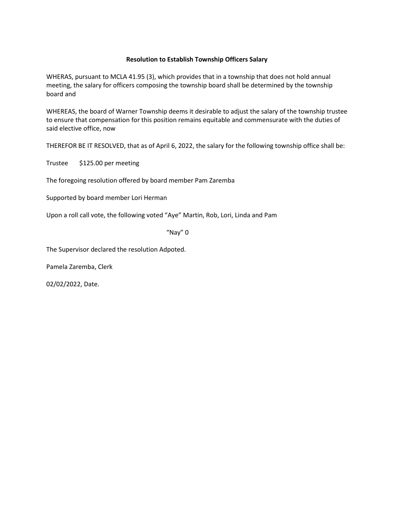WHERAS, pursuant to MCLA 41.95 (3), which provides that in a township that does not hold annual meeting, the salary for officers composing the township board shall be determined by the township board and

WHEREAS, the board of Warner Township deems it desirable to adjust the salary of the township trustee to ensure that compensation for this position remains equitable and commensurate with the duties of said elective office, now

THEREFOR BE IT RESOLVED, that as of April 6, 2022, the salary for the following township office shall be:

Trustee \$125.00 per meeting

The foregoing resolution offered by board member Pam Zaremba

Supported by board member Lori Herman

Upon a roll call vote, the following voted "Aye" Martin, Rob, Lori, Linda and Pam

"Nay" 0

The Supervisor declared the resolution Adpoted.

Pamela Zaremba, Clerk

02/02/2022, Date.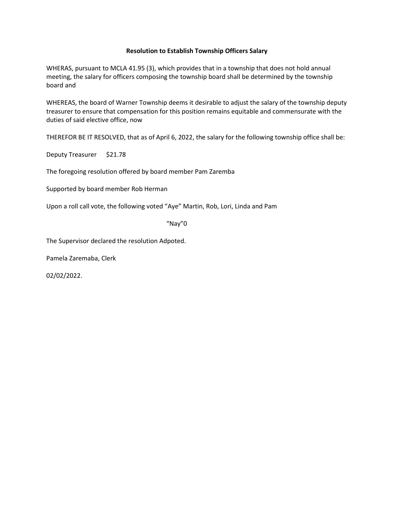WHERAS, pursuant to MCLA 41.95 (3), which provides that in a township that does not hold annual meeting, the salary for officers composing the township board shall be determined by the township board and

WHEREAS, the board of Warner Township deems it desirable to adjust the salary of the township deputy treasurer to ensure that compensation for this position remains equitable and commensurate with the duties of said elective office, now

THEREFOR BE IT RESOLVED, that as of April 6, 2022, the salary for the following township office shall be:

Deputy Treasurer \$21.78

The foregoing resolution offered by board member Pam Zaremba

Supported by board member Rob Herman

Upon a roll call vote, the following voted "Aye" Martin, Rob, Lori, Linda and Pam

"Nay"0

The Supervisor declared the resolution Adpoted.

Pamela Zaremaba, Clerk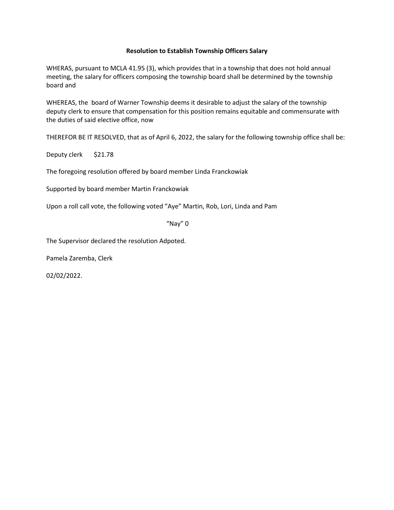WHERAS, pursuant to MCLA 41.95 (3), which provides that in a township that does not hold annual meeting, the salary for officers composing the township board shall be determined by the township board and

WHEREAS, the board of Warner Township deems it desirable to adjust the salary of the township deputy clerk to ensure that compensation for this position remains equitable and commensurate with the duties of said elective office, now

THEREFOR BE IT RESOLVED, that as of April 6, 2022, the salary for the following township office shall be:

Deputy clerk \$21.78

The foregoing resolution offered by board member Linda Franckowiak

Supported by board member Martin Franckowiak

Upon a roll call vote, the following voted "Aye" Martin, Rob, Lori, Linda and Pam

"Nay" 0

The Supervisor declared the resolution Adpoted.

Pamela Zaremba, Clerk